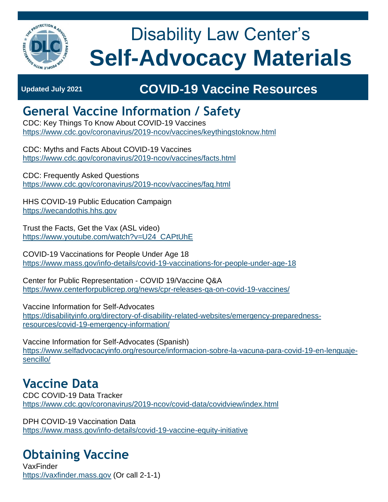

# Disability Law Center's **Self-Advocacy Materials**

## **Updated July 2021 COVID-19 Vaccine Resources**

### **General Vaccine Information / Safety**

CDC: Key Things To Know About COVID-19 Vaccines <https://www.cdc.gov/coronavirus/2019-ncov/vaccines/keythingstoknow.html>

CDC: Myths and Facts About COVID-19 Vaccines <https://www.cdc.gov/coronavirus/2019-ncov/vaccines/facts.html>

CDC: Frequently Asked Questions <https://www.cdc.gov/coronavirus/2019-ncov/vaccines/faq.html>

HHS COVID-19 Public Education Campaign [https://wecandothis.hhs.gov](https://wecandothis.hhs.gov/)

Trust the Facts, Get the Vax (ASL video) [https://www.youtube.com/watch?v=U24\\_CAPtUhE](https://www.youtube.com/watch?v=U24_CAPtUhE)

COVID-19 Vaccinations for People Under Age 18 <https://www.mass.gov/info-details/covid-19-vaccinations-for-people-under-age-18>

Center for Public Representation - COVID 19/Vaccine Q&A <https://www.centerforpublicrep.org/news/cpr-releases-qa-on-covid-19-vaccines/>

Vaccine Information for Self-Advocates [https://disabilityinfo.org/directory-of-disability-related-websites/emergency-preparedness](https://disabilityinfo.org/directory-of-disability-related-websites/emergency-preparedness-resources/covid-19-emergency-information/)[resources/covid-19-emergency-information/](https://disabilityinfo.org/directory-of-disability-related-websites/emergency-preparedness-resources/covid-19-emergency-information/)

Vaccine Information for Self-Advocates (Spanish) [https://www.selfadvocacyinfo.org/resource/informacion-sobre-la-vacuna-para-covid-19-en-lenguaje](https://www.selfadvocacyinfo.org/resource/informacion-sobre-la-vacuna-para-covid-19-en-lenguaje-sencillo/)[sencillo/](https://www.selfadvocacyinfo.org/resource/informacion-sobre-la-vacuna-para-covid-19-en-lenguaje-sencillo/)

### **Vaccine Data**

CDC COVID-19 Data Tracker <https://www.cdc.gov/coronavirus/2019-ncov/covid-data/covidview/index.html>

DPH COVID-19 Vaccination Data <https://www.mass.gov/info-details/covid-19-vaccine-equity-initiative>

## **Obtaining Vaccine**

VaxFinder [https://vaxfinder.mass.gov](https://vaxfinder.mass.gov/) (Or call 2-1-1)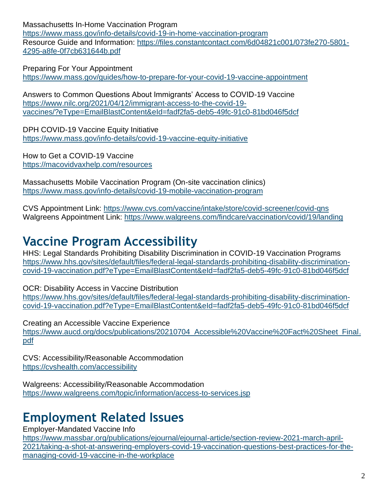Massachusetts In-Home Vaccination Program

<https://www.mass.gov/info-details/covid-19-in-home-vaccination-program> Resource Guide and Information: [https://files.constantcontact.com/6d04821c001/073fe270-5801-](https://files.constantcontact.com/6d04821c001/073fe270-5801-4295-a8fe-0f7cb631644b.pdf) [4295-a8fe-0f7cb631644b.pdf](https://files.constantcontact.com/6d04821c001/073fe270-5801-4295-a8fe-0f7cb631644b.pdf)

Preparing For Your Appointment

<https://www.mass.gov/guides/how-to-prepare-for-your-covid-19-vaccine-appointment>

Answers to Common Questions About Immigrants' Access to COVID-19 Vaccine [https://www.nilc.org/2021/04/12/immigrant-access-to-the-covid-19](https://www.nilc.org/2021/04/12/immigrant-access-to-the-covid-19-vaccines/?eType=EmailBlastContent&eId=fadf2fa5-deb5-49fc-91c0-81bd046f5dcf) [vaccines/?eType=EmailBlastContent&eId=fadf2fa5-deb5-49fc-91c0-81bd046f5dcf](https://www.nilc.org/2021/04/12/immigrant-access-to-the-covid-19-vaccines/?eType=EmailBlastContent&eId=fadf2fa5-deb5-49fc-91c0-81bd046f5dcf)

DPH COVID-19 Vaccine Equity Initiative <https://www.mass.gov/info-details/covid-19-vaccine-equity-initiative>

How to Get a COVID-19 Vaccine <https://macovidvaxhelp.com/resources>

Massachusetts Mobile Vaccination Program (On-site vaccination clinics) <https://www.mass.gov/info-details/covid-19-mobile-vaccination-program>

CVS Appointment Link:<https://www.cvs.com/vaccine/intake/store/covid-screener/covid-qns> Walgreens Appointment Link:<https://www.walgreens.com/findcare/vaccination/covid/19/landing>

#### **Vaccine Program Accessibility**

HHS: Legal Standards Prohibiting Disability Discrimination in COVID-19 Vaccination Programs [https://www.hhs.gov/sites/default/files/federal-legal-standards-prohibiting-disability-discrimination](https://www.hhs.gov/sites/default/files/federal-legal-standards-prohibiting-disability-discrimination-covid-19-vaccination.pdf?eType=EmailBlastContent&eId=fadf2fa5-deb5-49fc-91c0-81bd046f5dcf)[covid-19-vaccination.pdf?eType=EmailBlastContent&eId=fadf2fa5-deb5-49fc-91c0-81bd046f5dcf](https://www.hhs.gov/sites/default/files/federal-legal-standards-prohibiting-disability-discrimination-covid-19-vaccination.pdf?eType=EmailBlastContent&eId=fadf2fa5-deb5-49fc-91c0-81bd046f5dcf)

OCR: Disability Access in Vaccine Distribution [https://www.hhs.gov/sites/default/files/federal-legal-standards-prohibiting-disability-discrimination](https://www.hhs.gov/sites/default/files/federal-legal-standards-prohibiting-disability-discrimination-covid-19-vaccination.pdf?eType=EmailBlastContent&eId=fadf2fa5-deb5-49fc-91c0-81bd046f5dcf)[covid-19-vaccination.pdf?eType=EmailBlastContent&eId=fadf2fa5-deb5-49fc-91c0-81bd046f5dcf](https://www.hhs.gov/sites/default/files/federal-legal-standards-prohibiting-disability-discrimination-covid-19-vaccination.pdf?eType=EmailBlastContent&eId=fadf2fa5-deb5-49fc-91c0-81bd046f5dcf)

Creating an Accessible Vaccine Experience https://www.aucd.org/docs/publications/20210704 Accessible%20Vaccine%20Fact%20Sheet\_Final. [pdf](https://www.aucd.org/docs/publications/20210704_Accessible%20Vaccine%20Fact%20Sheet_Final.pdf)

CVS: Accessibility/Reasonable Accommodation <https://cvshealth.com/accessibility>

Walgreens: Accessibility/Reasonable Accommodation <https://www.walgreens.com/topic/information/access-to-services.jsp>

### **Employment Related Issues**

Employer-Mandated Vaccine Info

[https://www.massbar.org/publications/ejournal/ejournal-article/section-review-2021-march-april-](https://www.massbar.org/publications/ejournal/ejournal-article/section-review-2021-march-april-2021/taking-a-shot-at-answering-employers-covid-19-vaccination-questions-best-practices-for-the-managing-covid-19-vaccine-in-the-workplace)[2021/taking-a-shot-at-answering-employers-covid-19-vaccination-questions-best-practices-for-the](https://www.massbar.org/publications/ejournal/ejournal-article/section-review-2021-march-april-2021/taking-a-shot-at-answering-employers-covid-19-vaccination-questions-best-practices-for-the-managing-covid-19-vaccine-in-the-workplace)[managing-covid-19-vaccine-in-the-workplace](https://www.massbar.org/publications/ejournal/ejournal-article/section-review-2021-march-april-2021/taking-a-shot-at-answering-employers-covid-19-vaccination-questions-best-practices-for-the-managing-covid-19-vaccine-in-the-workplace)